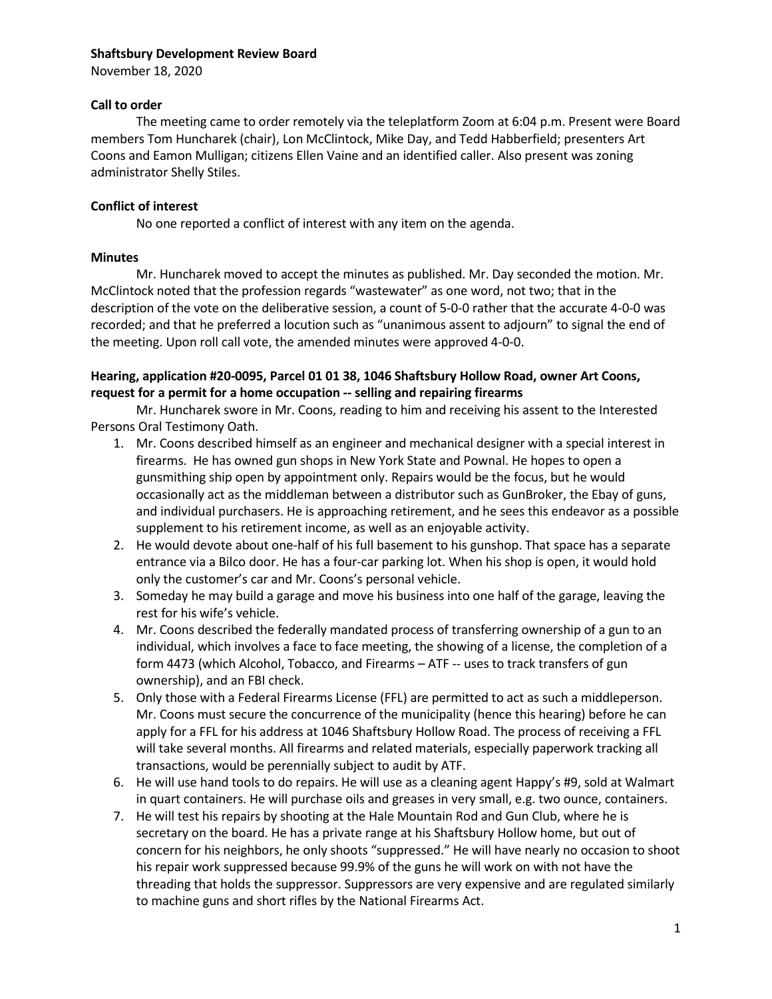#### Shaftsbury Development Review Board

November 18, 2020

#### Call to order

The meeting came to order remotely via the teleplatform Zoom at 6:04 p.m. Present were Board members Tom Huncharek (chair), Lon McClintock, Mike Day, and Tedd Habberfield; presenters Art Coons and Eamon Mulligan; citizens Ellen Vaine and an identified caller. Also present was zoning administrator Shelly Stiles.

# Conflict of interest

No one reported a conflict of interest with any item on the agenda.

## Minutes

Mr. Huncharek moved to accept the minutes as published. Mr. Day seconded the motion. Mr. McClintock noted that the profession regards "wastewater" as one word, not two; that in the description of the vote on the deliberative session, a count of 5-0-0 rather that the accurate 4-0-0 was recorded; and that he preferred a locution such as "unanimous assent to adjourn" to signal the end of the meeting. Upon roll call vote, the amended minutes were approved 4-0-0.

# Hearing, application #20-0095, Parcel 01 01 38, 1046 Shaftsbury Hollow Road, owner Art Coons, request for a permit for a home occupation -- selling and repairing firearms

Mr. Huncharek swore in Mr. Coons, reading to him and receiving his assent to the Interested Persons Oral Testimony Oath.

- 1. Mr. Coons described himself as an engineer and mechanical designer with a special interest in firearms. He has owned gun shops in New York State and Pownal. He hopes to open a gunsmithing ship open by appointment only. Repairs would be the focus, but he would occasionally act as the middleman between a distributor such as GunBroker, the Ebay of guns, and individual purchasers. He is approaching retirement, and he sees this endeavor as a possible supplement to his retirement income, as well as an enjoyable activity.
- 2. He would devote about one-half of his full basement to his gunshop. That space has a separate entrance via a Bilco door. He has a four-car parking lot. When his shop is open, it would hold only the customer's car and Mr. Coons's personal vehicle.
- 3. Someday he may build a garage and move his business into one half of the garage, leaving the rest for his wife's vehicle.
- 4. Mr. Coons described the federally mandated process of transferring ownership of a gun to an individual, which involves a face to face meeting, the showing of a license, the completion of a form 4473 (which Alcohol, Tobacco, and Firearms – ATF -- uses to track transfers of gun ownership), and an FBI check.
- 5. Only those with a Federal Firearms License (FFL) are permitted to act as such a middleperson. Mr. Coons must secure the concurrence of the municipality (hence this hearing) before he can apply for a FFL for his address at 1046 Shaftsbury Hollow Road. The process of receiving a FFL will take several months. All firearms and related materials, especially paperwork tracking all transactions, would be perennially subject to audit by ATF.
- 6. He will use hand tools to do repairs. He will use as a cleaning agent Happy's #9, sold at Walmart in quart containers. He will purchase oils and greases in very small, e.g. two ounce, containers.
- 7. He will test his repairs by shooting at the Hale Mountain Rod and Gun Club, where he is secretary on the board. He has a private range at his Shaftsbury Hollow home, but out of concern for his neighbors, he only shoots "suppressed." He will have nearly no occasion to shoot his repair work suppressed because 99.9% of the guns he will work on with not have the threading that holds the suppressor. Suppressors are very expensive and are regulated similarly to machine guns and short rifles by the National Firearms Act.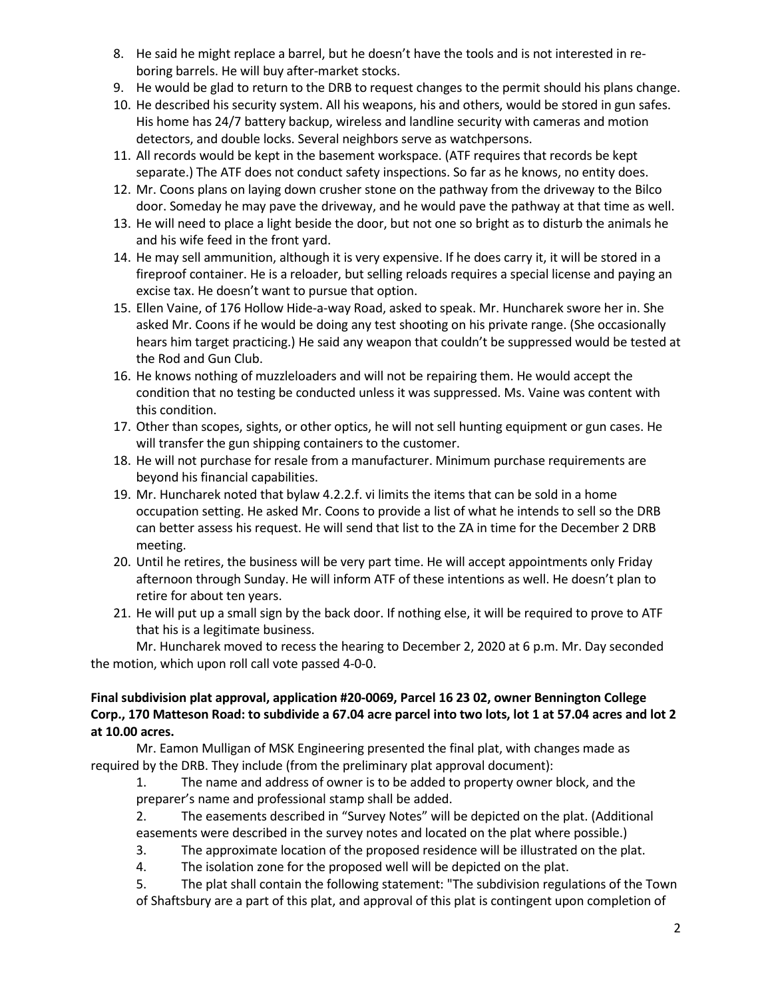- 8. He said he might replace a barrel, but he doesn't have the tools and is not interested in reboring barrels. He will buy after-market stocks.
- 9. He would be glad to return to the DRB to request changes to the permit should his plans change.
- 10. He described his security system. All his weapons, his and others, would be stored in gun safes. His home has 24/7 battery backup, wireless and landline security with cameras and motion detectors, and double locks. Several neighbors serve as watchpersons.
- 11. All records would be kept in the basement workspace. (ATF requires that records be kept separate.) The ATF does not conduct safety inspections. So far as he knows, no entity does.
- 12. Mr. Coons plans on laying down crusher stone on the pathway from the driveway to the Bilco door. Someday he may pave the driveway, and he would pave the pathway at that time as well.
- 13. He will need to place a light beside the door, but not one so bright as to disturb the animals he and his wife feed in the front yard.
- 14. He may sell ammunition, although it is very expensive. If he does carry it, it will be stored in a fireproof container. He is a reloader, but selling reloads requires a special license and paying an excise tax. He doesn't want to pursue that option.
- 15. Ellen Vaine, of 176 Hollow Hide-a-way Road, asked to speak. Mr. Huncharek swore her in. She asked Mr. Coons if he would be doing any test shooting on his private range. (She occasionally hears him target practicing.) He said any weapon that couldn't be suppressed would be tested at the Rod and Gun Club.
- 16. He knows nothing of muzzleloaders and will not be repairing them. He would accept the condition that no testing be conducted unless it was suppressed. Ms. Vaine was content with this condition.
- 17. Other than scopes, sights, or other optics, he will not sell hunting equipment or gun cases. He will transfer the gun shipping containers to the customer.
- 18. He will not purchase for resale from a manufacturer. Minimum purchase requirements are beyond his financial capabilities.
- 19. Mr. Huncharek noted that bylaw 4.2.2.f. vi limits the items that can be sold in a home occupation setting. He asked Mr. Coons to provide a list of what he intends to sell so the DRB can better assess his request. He will send that list to the ZA in time for the December 2 DRB meeting.
- 20. Until he retires, the business will be very part time. He will accept appointments only Friday afternoon through Sunday. He will inform ATF of these intentions as well. He doesn't plan to retire for about ten years.
- 21. He will put up a small sign by the back door. If nothing else, it will be required to prove to ATF that his is a legitimate business.

Mr. Huncharek moved to recess the hearing to December 2, 2020 at 6 p.m. Mr. Day seconded the motion, which upon roll call vote passed 4-0-0.

# Final subdivision plat approval, application #20-0069, Parcel 16 23 02, owner Bennington College Corp., 170 Matteson Road: to subdivide a 67.04 acre parcel into two lots, lot 1 at 57.04 acres and lot 2 at 10.00 acres.

Mr. Eamon Mulligan of MSK Engineering presented the final plat, with changes made as required by the DRB. They include (from the preliminary plat approval document):

1. The name and address of owner is to be added to property owner block, and the preparer's name and professional stamp shall be added.

2. The easements described in "Survey Notes" will be depicted on the plat. (Additional easements were described in the survey notes and located on the plat where possible.)

- 3. The approximate location of the proposed residence will be illustrated on the plat.
- 4. The isolation zone for the proposed well will be depicted on the plat.

5. The plat shall contain the following statement: "The subdivision regulations of the Town of Shaftsbury are a part of this plat, and approval of this plat is contingent upon completion of